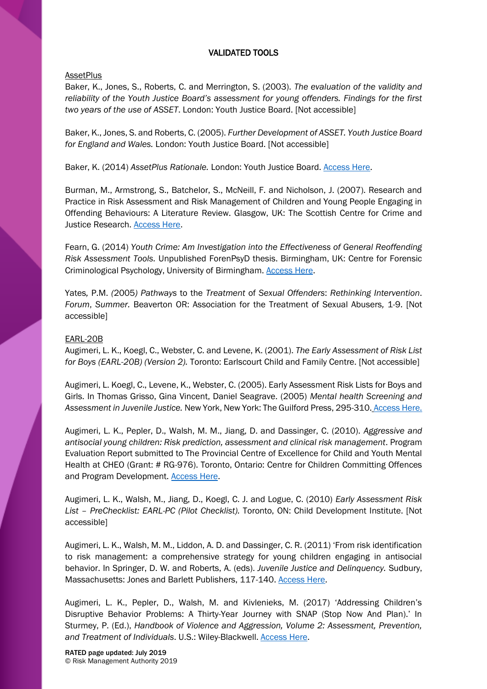# VALIDATED TOOLS

## **AssetPlus**

Baker, K., Jones, S., Roberts, C. and Merrington, S. (2003). *The evaluation of the validity and reliability of the Youth Justice Board's assessment for young offenders. Findings for the first two years of the use of ASSET*. London: Youth Justice Board. [Not accessible]

Baker, K., Jones, S. and Roberts, C. (2005). *Further Development of ASSET. Youth Justice Board for England and Wales.* London: Youth Justice Board. [Not accessible]

Baker, K. (2014) *AssetPlus Rationale.* London: Youth Justice Board. [Access Here.](https://assets.publishing.service.gov.uk/government/uploads/system/uploads/attachment_data/file/367782/AssetPlus_Rationale_revised_October_2014_1_0.pdf)

Burman, M., Armstrong, S., Batchelor, S., McNeill, F. and Nicholson, J. (2007). Research and Practice in Risk Assessment and Risk Management of Children and Young People Engaging in Offending Behaviours: A Literature Review. Glasgow, UK: The Scottish Centre for Crime and Justice Research. **Access Here.** 

Fearn, G. (2014) *Youth Crime: Am Investigation into the Effectiveness of General Reoffending Risk Assessment Tools.* Unpublished ForenPsyD thesis. Birmingham, UK: Centre for Forensic Criminological Psychology, University of Birmingham. [Access Here.](http://etheses.bham.ac.uk/5099/1/Fearn14ForenPsyD.pdf)

Yates*,* P.M. *(*2005*) Pathways* to the *Treatment* of *Sexual Offenders*: *Rethinking Intervention*. *Forum*, *Summer.* Beaverton OR: Association for the Treatment of Sexual Abusers*,* 1-9. [Not accessible]

# EARL-20B

Augimeri, L. K., Koegl, C., Webster, C. and Levene, K. (2001). *The Early Assessment of Risk List for Boys (EARL-20B) (Version 2).* Toronto: Earlscourt Child and Family Centre. [Not accessible]

Augimeri, L. Koegl, C., Levene, K., Webster, C. (2005). Early Assessment Risk Lists for Boys and Girls. In Thomas Grisso, Gina Vincent, Daniel Seagrave. (2005) *Mental health Screening and Assessment in Juvenile Justice.* New York, New York: The Guilford Press, 295-310. [Access Here.](http://psycnet.apa.org/record/2005-04651-019)

Augimeri, L. K., Pepler, D., Walsh, M. M., Jiang, D. and Dassinger, C. (2010). *Aggressive and antisocial young children: Risk prediction, assessment and clinical risk management*. Program Evaluation Report submitted to The Provincial Centre of Excellence for Child and Youth Mental Health at CHEO (Grant: # RG-976). Toronto, Ontario: Centre for Children Committing Offences and Program Development. **Access Here.** 

Augimeri, L. K., Walsh, M., Jiang, D., Koegl, C. J. and Logue, C. (2010) *Early Assessment Risk List – PreChecklist: EARL-PC (Pilot Checklist).* Toronto, ON: Child Development Institute. [Not accessible]

Augimeri, L. K., Walsh, M. M., Liddon, A. D. and Dassinger, C. R. (2011) 'From risk identification to risk management: a comprehensive strategy for young children engaging in antisocial behavior. In Springer, D. W. and Roberts, A. (eds). *Juvenile Justice and Delinquency.* Sudbury, Massachusetts: Jones and Barlett Publishers, 117-140. [Access Here.](https://books.google.co.uk/books?id=VDL9Q2AV46kC&pg=PA270&dq=D.+W.+Springer+and+A.+Roberts,+(Eds),+Juvenile+Justice+and+Delinquency&hl=en&sa=X&ved=0ahUKEwiiit_GvZ_fAhVTuHEKHWPEAfIQ6AEILTAB#v=onepage&q&f=false)

Augimeri, L. K., Pepler, D., Walsh, M. and Kivlenieks, M. (2017) 'Addressing Children's Disruptive Behavior Problems: A Thirty-Year Journey with SNAP (Stop Now And Plan).' In Sturmey, P. (Ed.), *Handbook of Violence and Aggression, Volume 2: Assessment, Prevention, and Treatment of Individuals*. U.S.: Wiley-Blackwell. [Access Here.](https://www.wiley.com/en-gb/The+Wiley+Handbook+of+Violence+and+Aggression-p-9781119057550)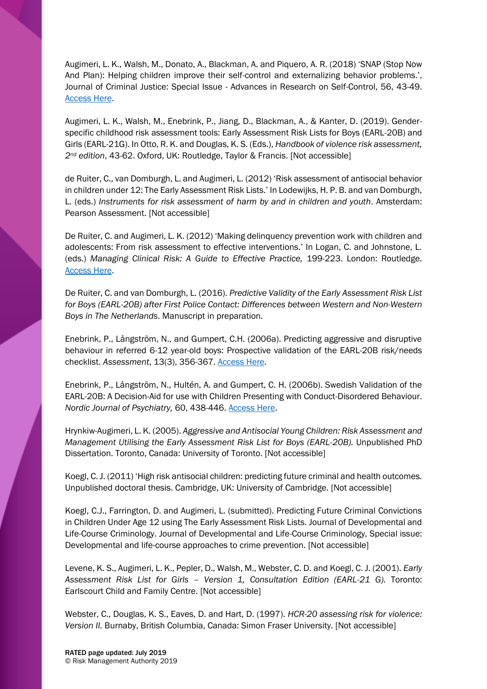Augimeri, L. K., Walsh, M., Donato, A., Blackman, A. and Piquero, A. R. (2018) 'SNAP (Stop Now And Plan): Helping children improve their self-control and externalizing behavior problems.', Journal of Criminal Justice: Special Issue - Advances in Research on Self-Control, 56, 43-49. [Access Here.](https://www.sciencedirect.com/science/article/pii/S0047235217302441)

Augimeri, L. K., Walsh, M., Enebrink, P., Jiang, D., Blackman, A., & Kanter, D. (2019). Genderspecific childhood risk assessment tools: Early Assessment Risk Lists for Boys (EARL-20B) and Girls (EARL-21G). In Otto, R. K. and Douglas, K. S. (Eds.), *Handbook of violence risk assessment, 2nd edition*, 43-62. Oxford, UK: Routledge, Taylor & Francis. [Not accessible]

de Ruiter, C., van Domburgh, L. and Augimeri, L. (2012) 'Risk assessment of antisocial behavior in children under 12: The Early Assessment Risk Lists.' In Lodewijks, H. P. B. and van Domburgh, L. (eds.) *Instruments for risk assessment of harm by and in children and youth*. Amsterdam: Pearson Assessment. [Not accessible]

De Ruiter, C. and Augimeri, L. K. (2012) 'Making delinquency prevention work with children and adolescents: From risk assessment to effective interventions.' In Logan, C. and Johnstone, L. (eds.) *Managing Clinical Risk: A Guide to Effective Practice,* 199-223. London: Routledge. [Access Here.](https://onlinelibrary.wiley.com/doi/abs/10.1002/cbm.1856)

De Ruiter, C. and van Domburgh, L. (2016). *Predictive Validity of the Early Assessment Risk List for Boys (EARL-20B) after First Police Contact: Differences between Western and Non-Western Boys in The Netherlands*. Manuscript in preparation.

Enebrink, P., Långström, N., and Gumpert, C.H. (2006a). Predicting aggressive and disruptive behaviour in referred 6-12 year-old boys: Prospective validation of the EARL-20B risk/needs checklist. *Assessment*, 13(3), 356-367. [Access Here.](https://journals.sagepub.com/doi/pdf/10.1177/1073191106290649)

Enebrink, P., Långström, N., Hultén, A. and Gumpert, C. H. (2006b). Swedish Validation of the EARL-20B: A Decision-Aid for use with Children Presenting with Conduct-Disordered Behaviour. *Nordic Journal of Psychiatry,* 60, 438-446. [Access Here.](https://www.tandfonline.com/doi/full/10.1080/08039480601021795)

Hrynkiw-Augimeri, L. K. (2005). *Aggressive and Antisocial Young Children: Risk Assessment and Management Utilising the Early Assessment Risk List for Boys (EARL-20B).* Unpublished PhD Dissertation. Toronto, Canada: University of Toronto. [Not accessible]

Koegl, C. J. (2011) 'High risk antisocial children: predicting future criminal and health outcomes. Unpublished doctoral thesis. Cambridge, UK: University of Cambridge. [Not accessible]

Koegl, C.J., Farrington, D. and Augimeri, L. (submitted). Predicting Future Criminal Convictions in Children Under Age 12 using The Early Assessment Risk Lists. Journal of Developmental and Life-Course Criminology. Journal of Developmental and Life-Course Criminology, Special issue: Developmental and life-course approaches to crime prevention. [Not accessible]

Levene, K. S., Augimeri, L. K., Pepler, D., Walsh, M., Webster, C. D. and Koegl, C. J. (2001). *Early Assessment Risk List for Girls – Version 1, Consultation Edition (EARL-21 G).* Toronto: Earlscourt Child and Family Centre. [Not accessible]

Webster, C., Douglas, K. S., Eaves, D. and Hart, D. (1997). *HCR-20 assessing risk for violence: Version II.* Burnaby, British Columbia, Canada: Simon Fraser University. [Not accessible]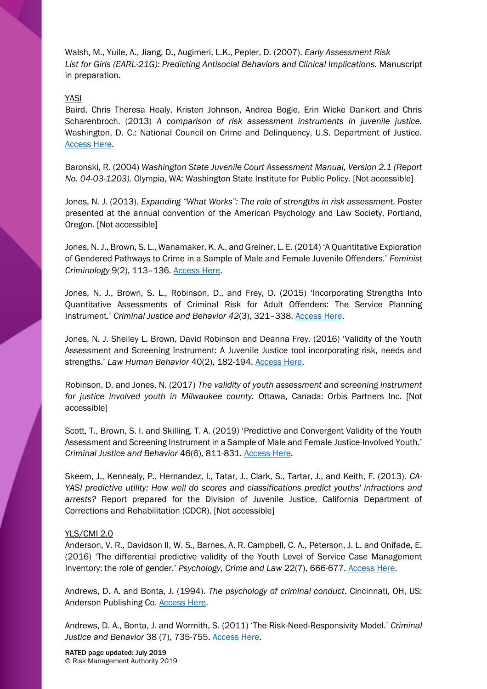Walsh, M., Yuile, A., Jiang, D., Augimeri, L.K., Pepler, D. (2007). *Early Assessment Risk*  List for Girls (EARL-21G): Predicting Antisocial Behaviors and Clinical Implications. Manuscript in preparation.

### YASI

Baird, Chris Theresa Healy, Kristen Johnson, Andrea Bogie, Erin Wicke Dankert and Chris Scharenbroch. (2013) *A comparison of risk assessment instruments in juvenile justice.*  Washington, D. C.: National Council on Crime and Delinquency, U.S. Department of Justice. [Access Here.](https://www.ncjrs.gov/pdffiles1/ojjdp/grants/244477.pdf)

Baronski, R. (2004) *Washington State Juvenile Court Assessment Manual, Version 2.1 (Report No. 04-03-1203).* Olympia, WA: Washington State Institute for Public Policy. [Not accessible]

Jones, N. J. (2013). *Expanding "What Works": The role of strengths in risk assessment.* Poster presented at the annual convention of the American Psychology and Law Society, Portland, Oregon. [Not accessible]

Jones, N. J., Brown, S. L., Wanamaker, K. A., and Greiner, L. E. (2014) 'A Quantitative Exploration of Gendered Pathways to Crime in a Sample of Male and Female Juvenile Offenders.' *Feminist Criminology* 9(2), 113–136. [Access Here.](https://journals.sagepub.com/doi/abs/10.1177/1557085113501850?journalCode=fcxa)

Jones, N. J., Brown, S. L., Robinson, D., and Frey, D. (2015) 'Incorporating Strengths Into Quantitative Assessments of Criminal Risk for Adult Offenders: The Service Planning Instrument.' *Criminal Justice and Behavior 42*(3), 321–338. [Access Here.](https://journals.sagepub.com/doi/abs/10.1177/0093854814547041)

Jones, N. J. Shelley L. Brown, David Robinson and Deanna Frey. (2016) 'Validity of the Youth Assessment and Screening Instrument: A Juvenile Justice tool incorporating risk, needs and strengths.' *Law Human Behavior* 40(2), 182-194. [Access Here.](http://psycnet.apa.org/record/2016-01242-001)

Robinson, D. and Jones, N. (2017) *The validity of youth assessment and screening instrument for justice involved youth in Milwaukee county.* Ottawa, Canada: Orbis Partners Inc. [Not accessible]

Scott, T., Brown, S. I. and Skilling, T. A. (2019) 'Predictive and Convergent Validity of the Youth Assessment and Screening Instrument in a Sample of Male and Female Justice-Involved Youth.' *Criminal Justice and Behavior* 46(6), 811-831. [Access Here.](https://journals.sagepub.com/doi/10.1177/0093854819842585)

Skeem, J., Kennealy, P., Hernandez, I., Tatar, J., Clark, S., Tartar, J., and Keith, F. (2013). *CA-YASI predictive utility: How well do scores and classifications predict youths' infractions and arrests?* Report prepared for the Division of Juvenile Justice, California Department of Corrections and Rehabilitation (CDCR). [Not accessible]

#### YLS/CMI 2.0

Anderson, V. R., Davidson II, W. S., Barnes, A. R. Campbell, C. A., Peterson, J. L. and Onifade, E. (2016) 'The differential predictive validity of the Youth Level of Service Case Management Inventory: the role of gender.' *Psychology, Crime and Law* 22(7), 666-677. [Access Here.](http://psycnet.apa.org/record/2016-32241-003)

Andrews, D. A. and Bonta, J. (1994). *The psychology of criminal conduct*. Cincinnati, OH, US: Anderson Publishing Co. **Access Here.** 

Andrews, D. A., Bonta, J. and Wormith, S. (2011) 'The Risk-Need-Responsivity Model.' *Criminal*  Justice and Behavior 38 (7), 735-755[. Access Here.](https://journals.sagepub.com/doi/10.1177/0093854811406356)

RATED page updated: July 2019 © Risk Management Authority 2019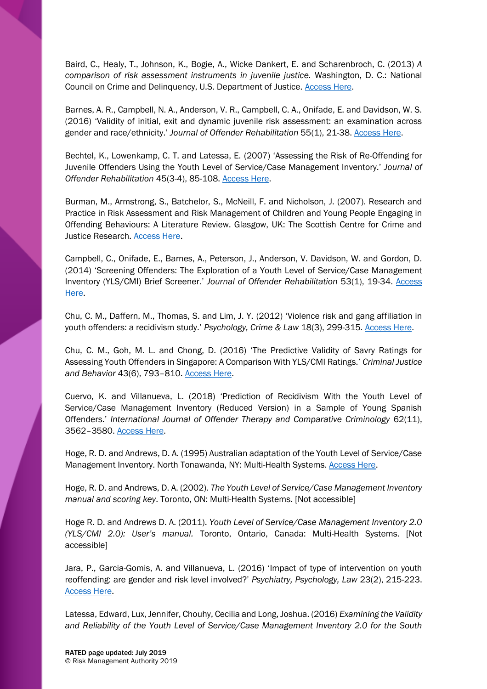Baird, C., Healy, T., Johnson, K., Bogie, A., Wicke Dankert, E. and Scharenbroch, C. (2013) *A comparison of risk assessment instruments in juvenile justice.* Washington, D. C.: National Council on Crime and Delinquency, U.S. Department of Justice. [Access Here.](https://www.ncjrs.gov/pdffiles1/ojjdp/grants/244477.pdf)

Barnes, A. R., Campbell, N. A., Anderson, V. R., Campbell, C. A., Onifade, E. and Davidson, W. S. (2016) 'Validity of initial, exit and dynamic juvenile risk assessment: an examination across gender and race/ethnicity.' *Journal of Offender Rehabilitation* 55(1), 21-38[. Access Here.](http://psycnet.apa.org/record/2015-53175-002)

Bechtel, K., Lowenkamp, C. T. and Latessa, E. (2007) 'Assessing the Risk of Re-Offending for Juvenile Offenders Using the Youth Level of Service/Case Management Inventory.' *Journal of Offender Rehabilitation* 45(3-4), 85-108[. Access Here.](https://www.uc.edu/content/dam/uc/ccjr/docs/articles/Risk_of_Reoffending_YLSCMI.pdf)

Burman, M., Armstrong, S., Batchelor, S., McNeill, F. and Nicholson, J. (2007). Research and Practice in Risk Assessment and Risk Management of Children and Young People Engaging in Offending Behaviours: A Literature Review. Glasgow, UK: The Scottish Centre for Crime and Justice Research. **Access Here.** 

Campbell, C., Onifade, E., Barnes, A., Peterson, J., Anderson, V. Davidson, W. and Gordon, D. (2014) 'Screening Offenders: The Exploration of a Youth Level of Service/Case Management Inventory (YLS/CMI) Brief Screener.' *Journal of Offender Rehabilitation* 53(1), 19-34. [Access](https://www.tandfonline.com/doi/abs/10.1080/10509674.2013.861314)  [Here.](https://www.tandfonline.com/doi/abs/10.1080/10509674.2013.861314)

Chu, C. M., Daffern, M., Thomas, S. and Lim, J. Y. (2012) 'Violence risk and gang affiliation in youth offenders: a recidivism study.' *Psychology, Crime & Law* 18(3), 299-315. [Access Here.](https://www.tandfonline.com/doi/abs/10.1080/1068316X.2010.481626)

Chu, C. M., Goh, M. L. and Chong, D. (2016) 'The Predictive Validity of Savry Ratings for Assessing Youth Offenders in Singapore: A Comparison With YLS/CMI Ratings.' *Criminal Justice and Behavior* 43(6), 793–810. [Access Here.](https://journals.sagepub.com/doi/10.1177/0093854815616842)

Cuervo, K. and Villanueva, L. (2018) 'Prediction of Recidivism With the Youth Level of Service/Case Management Inventory (Reduced Version) in a Sample of Young Spanish Offenders.' *International Journal of Offender Therapy and Comparative Criminology* 62(11), 3562–3580. [Access Here.](https://journals.sagepub.com/doi/abs/10.1177/0306624X17741250?journalCode=ijoe)

Hoge, R. D. and Andrews, D. A. (1995) Australian adaptation of the Youth Level of Service/Case Management Inventory. North Tonawanda, NY: Multi-Health Systems. [Access Here.](http://www.territorystories.nt.gov.au/bitstream/10070/262722/22/annex%209%20-yls-cmi-aa-guide.pdf)

Hoge, R. D. and Andrews, D. A. (2002). *The Youth Level of Service/Case Management Inventory manual and scoring key*. Toronto, ON: Multi-Health Systems. [Not accessible]

Hoge R. D. and Andrews D. A. (2011). *Youth Level of Service/Case Management Inventory 2.0 (YLS/CMI 2.0): User's manual.* Toronto, Ontario, Canada: Multi-Health Systems. [Not accessible]

Jara, P., Garcia-Gomis, A. and Villanueva, L. (2016) 'Impact of type of intervention on youth reoffending: are gender and risk level involved?' *Psychiatry, Psychology, Law* 23(2), 215-223. [Access Here.](https://www.tandfonline.com/doi/abs/10.1080/13218719.2015.1042418)

Latessa, Edward, Lux, Jennifer, Chouhy, Cecilia and Long, Joshua. (2016) *Examining the Validity and Reliability of the Youth Level of Service/Case Management Inventory 2.0 for the South*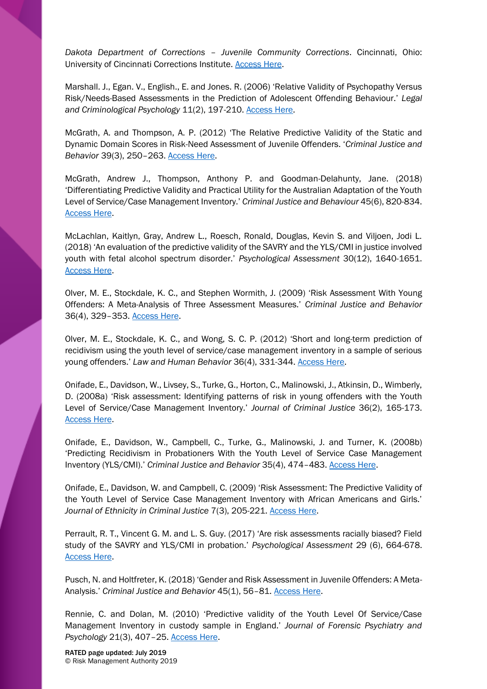*Dakota Department of Corrections – Juvenile Community Corrections*. Cincinnati, Ohio: University of Cincinnati Corrections Institute. [Access Here.](https://www.uc.edu/content/dam/cech/centers/ccjr/docs/SD_Validation_Final_Report-5.20.15.pdf)

Marshall. J., Egan. V., English., E. and Jones. R. (2006) 'Relative Validity of Psychopathy Versus Risk/Needs-Based Assessments in the Prediction of Adolescent Offending Behaviour.' *Legal and Criminological Psychology* 11(2), 197-210. [Access Here.](https://onlinelibrary.wiley.com/doi/abs/10.1348/135532505X68719)

McGrath, A. and Thompson, A. P. (2012) 'The Relative Predictive Validity of the Static and Dynamic Domain Scores in Risk-Need Assessment of Juvenile Offenders. '*Criminal Justice and Behavior* 39(3), 250–263. [Access Here.](https://journals.sagepub.com/doi/abs/10.1177/0093854811431917?journalCode=cjbb)

McGrath, Andrew J., Thompson, Anthony P. and Goodman-Delahunty, Jane. (2018) 'Differentiating Predictive Validity and Practical Utility for the Australian Adaptation of the Youth Level of Service/Case Management Inventory.' *Criminal Justice and Behaviour* 45(6), 820-834. [Access Here.](https://journals.sagepub.com/doi/abs/10.1177/0093854818762468)

McLachlan, Kaitlyn, Gray, Andrew L., Roesch, Ronald, Douglas, Kevin S. and Viljoen, Jodi L. (2018) 'An evaluation of the predictive validity of the SAVRY and the YLS/CMI in justice involved youth with fetal alcohol spectrum disorder.' *Psychological Assessment* 30(12), 1640-1651. [Access Here.](https://psycnet.apa.org/record/2018-30939-001)

Olver, M. E., Stockdale, K. C., and Stephen Wormith, J. (2009) 'Risk Assessment With Young Offenders: A Meta-Analysis of Three Assessment Measures.' *Criminal Justice and Behavior* 36(4), 329–353. [Access Here.](https://journals.sagepub.com/doi/10.1177/0093854809331457)

Olver, M. E., Stockdale, K. C., and Wong, S. C. P. (2012) 'Short and long-term prediction of recidivism using the youth level of service/case management inventory in a sample of serious young offenders.' *Law and Human Behavior* 36(4), 331-344[. Access Here.](http://psycnet.apa.org/record/2011-27118-001)

Onifade, E., Davidson, W., Livsey, S., Turke, G., Horton, C., Malinowski, J., Atkinsin, D., Wimberly, D. (2008a) 'Risk assessment: Identifying patterns of risk in young offenders with the Youth Level of Service/Case Management Inventory.' *Journal of Criminal Justice* 36(2), 165-173. [Access Here.](http://psycnet.apa.org/record/2008-05469-006)

Onifade, E., Davidson, W., Campbell, C., Turke, G., Malinowski, J. and Turner, K. (2008b) 'Predicting Recidivism in Probationers With the Youth Level of Service Case Management Inventory (YLS/CMI).' *Criminal Justice and Behavior* 35(4), 474–483. [Access Here.](https://journals.sagepub.com/doi/abs/10.1177/0093854807313427)

Onifade, E., Davidson, W. and Campbell, C. (2009) 'Risk Assessment: The Predictive Validity of the Youth Level of Service Case Management Inventory with African Americans and Girls.' *Journal of Ethnicity in Criminal Justice* 7(3), 205-221. [Access Here.](https://www.tandfonline.com/doi/abs/10.1080/15377930903143544)

Perrault, R. T., Vincent G. M. and L. S. Guy. (2017) 'Are risk assessments racially biased? Field study of the SAVRY and YLS/CMI in probation.' *Psychological Assessment* 29 (6), 664-678. [Access Here.](http://psycnet.apa.org/record/2017-24382-007)

Pusch, N. and Holtfreter, K. (2018) 'Gender and Risk Assessment in Juvenile Offenders: A Meta-Analysis.' *Criminal Justice and Behavior* 45(1), 56–81[. Access Here.](https://journals.sagepub.com/doi/10.1177/0093854817721720)

Rennie, C. and Dolan, M. (2010) 'Predictive validity of the Youth Level Of Service/Case Management Inventory in custody sample in England.' *Journal of Forensic Psychiatry and Psychology* 21(3), 407–25. [Access Here.](https://www.tandfonline.com/doi/abs/10.1080/14789940903452311)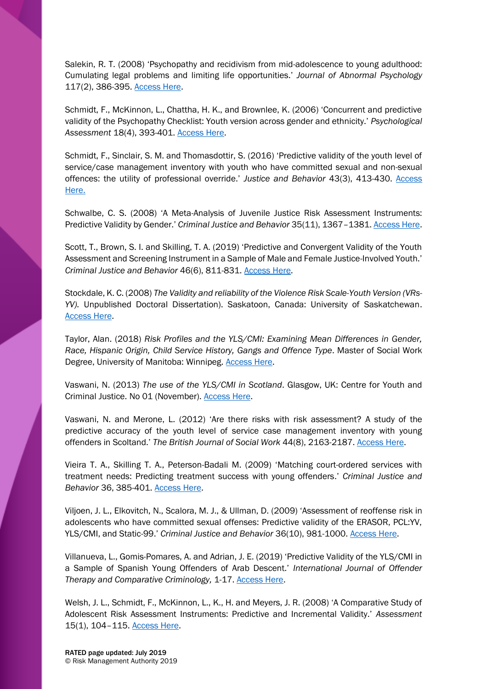Salekin, R. T. (2008) 'Psychopathy and recidivism from mid-adolescence to young adulthood: Cumulating legal problems and limiting life opportunities.' *Journal of Abnormal Psychology*  117(2), 386-395. [Access Here.](http://psycnet.apa.org/record/2008-05639-013)

Schmidt, F., McKinnon, L., Chattha, H. K., and Brownlee, K. (2006) 'Concurrent and predictive validity of the Psychopathy Checklist: Youth version across gender and ethnicity.' *Psychological Assessment* 18(4), 393-401[. Access Here.](http://psycnet.apa.org/record/2006-22005-004)

Schmidt, F., Sinclair, S. M. and Thomasdottir, S. (2016) 'Predictive validity of the youth level of service/case management inventory with youth who have committed sexual and non-sexual offences: the utility of professional override.' *Justice and Behavior* 43(3), 413-430. [Access](https://journals.sagepub.com/doi/abs/10.1177/0093854815603389?journalCode=cjbb)  [Here.](https://journals.sagepub.com/doi/abs/10.1177/0093854815603389?journalCode=cjbb)

Schwalbe, C. S. (2008) 'A Meta-Analysis of Juvenile Justice Risk Assessment Instruments: Predictive Validity by Gender.' *Criminal Justice and Behavior* 35(11), 1367–1381[. Access Here.](https://journals.sagepub.com/doi/10.1177/0093854808324377)

Scott, T., Brown, S. I. and Skilling, T. A. (2019) 'Predictive and Convergent Validity of the Youth Assessment and Screening Instrument in a Sample of Male and Female Justice-Involved Youth.' *Criminal Justice and Behavior* 46(6), 811-831. [Access Here.](https://journals.sagepub.com/doi/10.1177/0093854819842585)

Stockdale, K. C. (2008) *The Validity and reliability of the Violence Risk Scale-Youth Version (VRs-YV).* Unpublished Doctoral Dissertation). Saskatoon, Canada: University of Saskatchewan. [Access Here.](https://harvest.usask.ca/handle/10388/etd-08292008-113213)

Taylor, Alan. (2018) *Risk Profiles and the YLS/CMI: Examining Mean Differences in Gender, Race, Hispanic Origin, Child Service History, Gangs and Offence Type*. Master of Social Work Degree, University of Manitoba: Winnipeg. **Access Here.** 

Vaswani, N. (2013) *The use of the YLS/CMI in Scotland*. Glasgow, UK: Centre for Youth and Criminal Justice. No 01 (November). [Access Here.](https://cycj.org.uk/wp-content/uploads/2014/07/02311-CYCJ-briefing-paper_one.pdf)

Vaswani, N. and Merone, L. (2012) 'Are there risks with risk assessment? A study of the predictive accuracy of the youth level of service case management inventory with young offenders in Scoltand.' *The British Journal of Social Work* 44(8), 2163-2187. [Access Here.](https://academic.oup.com/bjsw/article-abstract/44/8/2163/1615942?redirectedFrom=fulltext)

Vieira T. A., Skilling T. A., Peterson-Badali M. (2009) 'Matching court-ordered services with treatment needs: Predicting treatment success with young offenders.' *Criminal Justice and Behavior* 36, 385-401[. Access Here.](https://journals.sagepub.com/doi/10.1177/0093854808331249)

Viljoen, J. L., Elkovitch, N., Scalora, M. J., & Ullman, D. (2009) 'Assessment of reoffense risk in adolescents who have committed sexual offenses: Predictive validity of the ERASOR, PCL:YV, YLS/CMI, and Static-99.' *Criminal Justice and Behavior* 36(10), 981-1000[. Access Here.](http://psycnet.apa.org/record/2009-17903-001)

Villanueva, L., Gomis-Pomares, A. and Adrian, J. E. (2019) 'Predictive Validity of the YLS/CMI in a Sample of Spanish Young Offenders of Arab Descent.' *International Journal of Offender Therapy and Comparative Criminology,* 1-17. [Access Here.](https://journals.sagepub.com/doi/full/10.1177/0306624X19834403)

Welsh, J. L., Schmidt, F., McKinnon, L., K., H. and Meyers, J. R. (2008) 'A Comparative Study of Adolescent Risk Assessment Instruments: Predictive and Incremental Validity.' *Assessment* 15(1), 104–115. [Access Here.](https://journals.sagepub.com/doi/abs/10.1177/1073191107307966)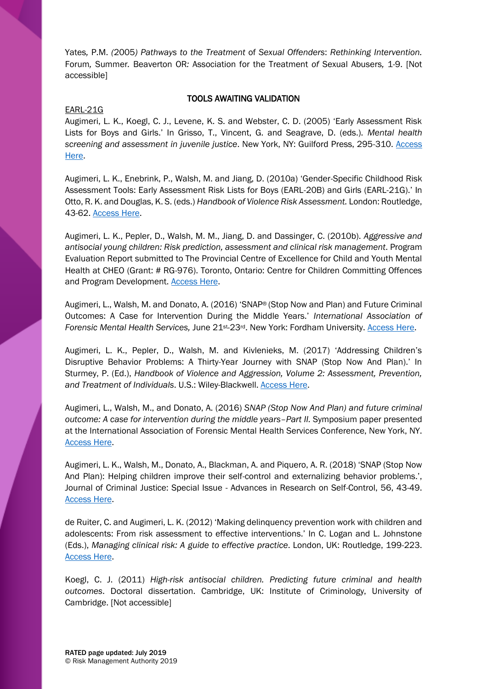Yates*,* P.M. *(*2005*) Pathways to the Treatment* of *Sexual Offenders*: *Rethinking Intervention.*  Forum*,* Summer*.* Beaverton OR*:* Association for the Treatment *of* Sexual Abusers*,* 1-9. [Not accessible]

# TOOLS AWAITING VALIDATION

## EARL-21G

Augimeri, L. K., Koegl, C. J., Levene, K. S. and Webster, C. D. (2005) 'Early Assessment Risk Lists for Boys and Girls.' In Grisso, T., Vincent, G. and Seagrave, D. (eds.). *Mental health screening and assessment in juvenile justice*. New York, NY: Guilford Press, 295-310. [Access](https://psycnet.apa.org/record/2005-04651-019)  [Here.](https://psycnet.apa.org/record/2005-04651-019)

Augimeri, L. K., Enebrink, P., Walsh, M. and Jiang, D. (2010a) 'Gender-Specific Childhood Risk Assessment Tools: Early Assessment Risk Lists for Boys (EARL-20B) and Girls (EARL-21G).' In Otto, R. K. and Douglas, K. S. (eds.) *Handbook of Violence Risk Assessment.* London: Routledge, 43-62. [Access Here.](https://books.google.co.uk/books?id=p1JoYbAAN7QC&printsec=frontcover&source=gbs_ge_summary_r&cad=0#v=onepage&q&f=false)

Augimeri, L. K., Pepler, D., Walsh, M. M., Jiang, D. and Dassinger, C. (2010b). *Aggressive and antisocial young children: Risk prediction, assessment and clinical risk management*. Program Evaluation Report submitted to The Provincial Centre of Excellence for Child and Youth Mental Health at CHEO (Grant: # RG-976). Toronto, Ontario: Centre for Children Committing Offences and Program Development. **Access Here.** 

Augimeri, L., Walsh, M. and Donato, A. (2016) 'SNAP® (Stop Now and Plan) and Future Criminal Outcomes: A Case for Intervention During the Middle Years.' *International Association of Forensic Mental Health Services,* June 21st-23rd. New York: Fordham University. [Access Here.](http://www.iafmhs.org/resources/Documents/2016%20IAFMHS%20CONFERENCE%20PROGRAM%20FINAL.pdf)

Augimeri, L. K., Pepler, D., Walsh, M. and Kivlenieks, M. (2017) 'Addressing Children's Disruptive Behavior Problems: A Thirty-Year Journey with SNAP (Stop Now And Plan).' In Sturmey, P. (Ed.), *Handbook of Violence and Aggression, Volume 2: Assessment, Prevention, and Treatment of Individuals*. U.S.: Wiley-Blackwell. [Access Here.](https://www.wiley.com/en-gb/The+Wiley+Handbook+of+Violence+and+Aggression-p-9781119057550)

Augimeri, L., Walsh, M., and Donato, A. (2016) *SNAP (Stop Now And Plan) and future criminal outcome: A case for intervention during the middle years–Part II.* Symposium paper presented at the International Association of Forensic Mental Health Services Conference, New York, NY. [Access Here.](http://www.iafmhs.org/resources/Documents/2016%20IAFMHS%20CONFERENCE%20PROGRAM%20FINAL.pdf)

Augimeri, L. K., Walsh, M., Donato, A., Blackman, A. and Piquero, A. R. (2018) 'SNAP (Stop Now And Plan): Helping children improve their self-control and externalizing behavior problems.', Journal of Criminal Justice: Special Issue - Advances in Research on Self-Control, 56, 43-49. [Access Here.](https://www.sciencedirect.com/science/article/pii/S0047235217302441)

de Ruiter, C. and Augimeri, L. K. (2012) 'Making delinquency prevention work with children and adolescents: From risk assessment to effective interventions.' In C. Logan and L. Johnstone (Eds.), *Managing clinical risk: A guide to effective practice*. London, UK: Routledge, 199-223. [Access Here.](http://www.corinederuiter.eu/publications.php?y=2012)

Koegl, C. J. (2011) *High-risk antisocial children. Predicting future criminal and health outcomes*. Doctoral dissertation. Cambridge, UK: Institute of Criminology, University of Cambridge. [Not accessible]